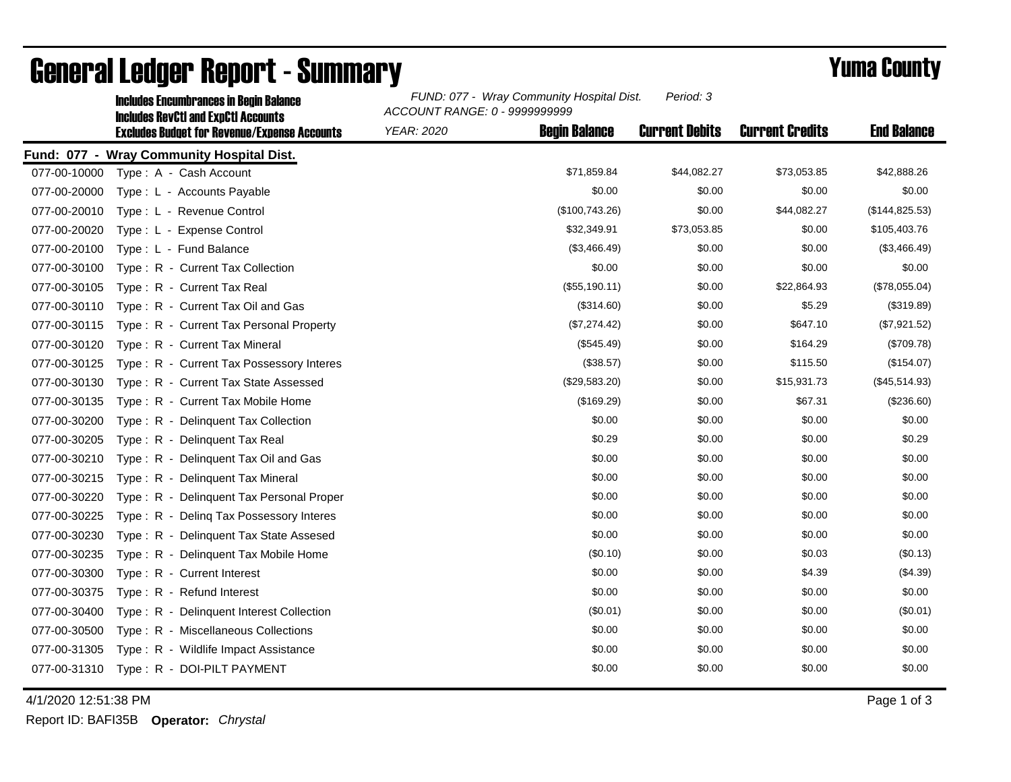|              | <b>Includes Encumbrances in Begin Balance</b><br><b>Includes RevCtI and ExpCtI Accounts</b> | FUND: 077 - Wray Community Hospital Dist.<br>Period: 3<br>ACCOUNT RANGE: 0 - 9999999999 |                       |                        |                    |
|--------------|---------------------------------------------------------------------------------------------|-----------------------------------------------------------------------------------------|-----------------------|------------------------|--------------------|
|              | <b>Excludes Budget for Revenue/Expense Accounts</b>                                         | <b>Begin Balance</b><br><b>YEAR: 2020</b>                                               | <b>Current Debits</b> | <b>Current Credits</b> | <b>End Balance</b> |
|              | Fund: 077 - Wray Community Hospital Dist.                                                   |                                                                                         |                       |                        |                    |
| 077-00-10000 | Type: A - Cash Account                                                                      | \$71,859.84                                                                             | \$44,082.27           | \$73,053.85            | \$42,888.26        |
| 077-00-20000 | Type: L - Accounts Payable                                                                  |                                                                                         | \$0.00<br>\$0.00      | \$0.00                 | \$0.00             |
| 077-00-20010 | Type: L - Revenue Control                                                                   | (\$100,743.26)                                                                          | \$0.00                | \$44,082.27            | (\$144, 825.53)    |
| 077-00-20020 | Type: L - Expense Control                                                                   | \$32,349.91                                                                             | \$73,053.85           | \$0.00                 | \$105,403.76       |
| 077-00-20100 | Type: L - Fund Balance                                                                      | (\$3,466.49)                                                                            | \$0.00                | \$0.00                 | (\$3,466.49)       |
| 077-00-30100 | Type: R - Current Tax Collection                                                            |                                                                                         | \$0.00<br>\$0.00      | \$0.00                 | \$0.00             |
| 077-00-30105 | Type: R - Current Tax Real                                                                  | (\$55,190.11)                                                                           | \$0.00                | \$22,864.93            | (\$78,055.04)      |
| 077-00-30110 | Type: R - Current Tax Oil and Gas                                                           |                                                                                         | \$0.00<br>(\$314.60)  | \$5.29                 | (\$319.89)         |
| 077-00-30115 | Type: R - Current Tax Personal Property                                                     | (\$7,274.42)                                                                            | \$0.00                | \$647.10               | (\$7,921.52)       |
| 077-00-30120 | Type: R - Current Tax Mineral                                                               |                                                                                         | (\$545.49)<br>\$0.00  | \$164.29               | (\$709.78)         |
| 077-00-30125 | Type: R - Current Tax Possessory Interes                                                    |                                                                                         | (\$38.57)<br>\$0.00   | \$115.50               | (\$154.07)         |
| 077-00-30130 | Type: R - Current Tax State Assessed                                                        | (\$29,583.20)                                                                           | \$0.00                | \$15,931.73            | (\$45,514.93)      |
| 077-00-30135 | Type: R - Current Tax Mobile Home                                                           |                                                                                         | (\$169.29)<br>\$0.00  | \$67.31                | (\$236.60)         |
| 077-00-30200 | Type: R - Delinquent Tax Collection                                                         |                                                                                         | \$0.00<br>\$0.00      | \$0.00                 | \$0.00             |
| 077-00-30205 | Type: R - Delinquent Tax Real                                                               |                                                                                         | \$0.29<br>\$0.00      | \$0.00                 | \$0.29             |
| 077-00-30210 | Type: R - Delinguent Tax Oil and Gas                                                        |                                                                                         | \$0.00<br>\$0.00      | \$0.00                 | \$0.00             |
| 077-00-30215 | Type: R - Delinquent Tax Mineral                                                            |                                                                                         | \$0.00<br>\$0.00      | \$0.00                 | \$0.00             |
| 077-00-30220 | Type: R - Delinquent Tax Personal Proper                                                    |                                                                                         | \$0.00<br>\$0.00      | \$0.00                 | \$0.00             |
| 077-00-30225 | Type: R - Deling Tax Possessory Interes                                                     |                                                                                         | \$0.00<br>\$0.00      | \$0.00                 | \$0.00             |
| 077-00-30230 | Type: R - Delinquent Tax State Assesed                                                      |                                                                                         | \$0.00<br>\$0.00      | \$0.00                 | \$0.00             |
| 077-00-30235 | Type: R - Delinquent Tax Mobile Home                                                        |                                                                                         | (\$0.10)<br>\$0.00    | \$0.03                 | (\$0.13)           |
| 077-00-30300 | Type: R - Current Interest                                                                  |                                                                                         | \$0.00<br>\$0.00      | \$4.39                 | (\$4.39)           |
| 077-00-30375 | Type: R - Refund Interest                                                                   |                                                                                         | \$0.00<br>\$0.00      | \$0.00                 | \$0.00             |
| 077-00-30400 | Type: R - Delinquent Interest Collection                                                    |                                                                                         | (\$0.01)<br>\$0.00    | \$0.00                 | (\$0.01)           |
| 077-00-30500 | Type: R - Miscellaneous Collections                                                         |                                                                                         | \$0.00<br>\$0.00      | \$0.00                 | \$0.00             |
| 077-00-31305 | Type: R - Wildlife Impact Assistance                                                        |                                                                                         | \$0.00<br>\$0.00      | \$0.00                 | \$0.00             |
|              | 077-00-31310 Type: R - DOI-PILT PAYMENT                                                     |                                                                                         | \$0.00<br>\$0.00      | \$0.00                 | \$0.00             |

## General Ledger Report - Summary **Example 2018** Yuma County

4/1/2020 12:51:38 PM Page 1 of 3

Report ID: BAFI35B **Operator:** *Chrystal*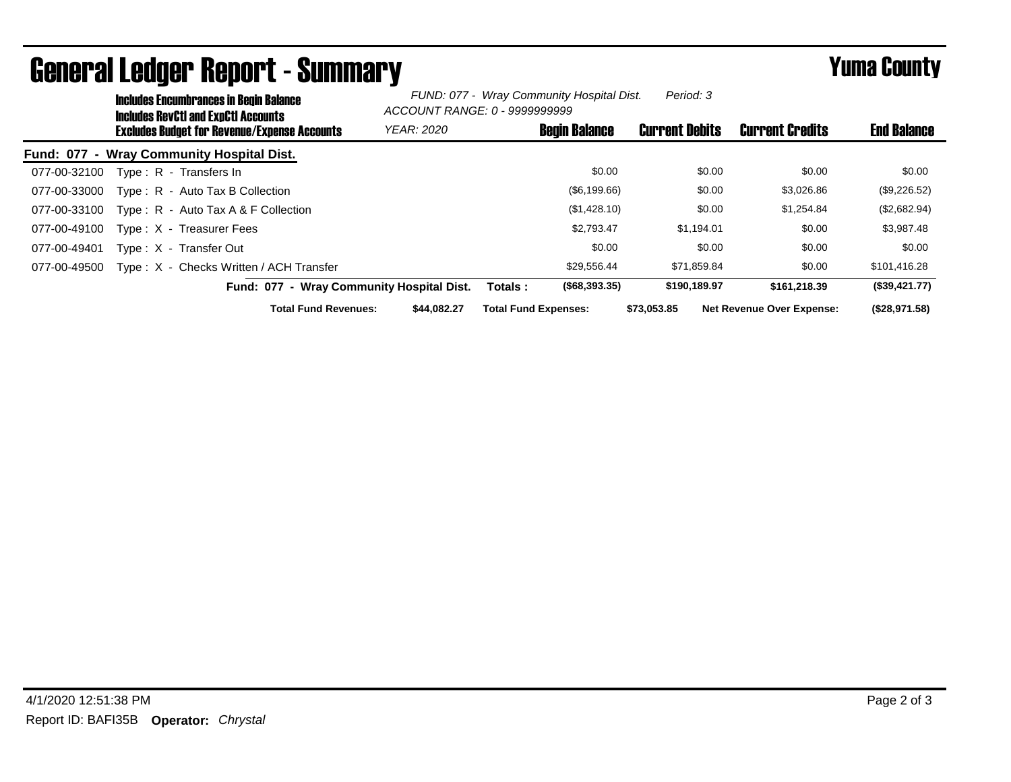| <b>Includes Encumbrances in Begin Balance</b><br><b>Includes RevCtI and ExpCtI Accounts</b> |                   | FUND: 077 - Wray Community Hospital Dist.<br>Period: 3<br>ACCOUNT RANGE: 0 - 9999999999 |                       |                                  |                    |
|---------------------------------------------------------------------------------------------|-------------------|-----------------------------------------------------------------------------------------|-----------------------|----------------------------------|--------------------|
| <b>Excludes Budget for Revenue/Expense Accounts</b>                                         | <b>YEAR: 2020</b> | <b>Begin Balance</b>                                                                    | <b>Current Debits</b> | <b>Current Credits</b>           | <b>End Balance</b> |
| Fund: 077 - Wray Community Hospital Dist.                                                   |                   |                                                                                         |                       |                                  |                    |
| Type: R - Transfers In<br>077-00-32100                                                      |                   | \$0.00                                                                                  | \$0.00                | \$0.00                           | \$0.00             |
| Type: R - Auto Tax B Collection<br>077-00-33000                                             |                   | (\$6,199.66)                                                                            | \$0.00                | \$3,026.86                       | (\$9,226.52)       |
| Type: R - Auto Tax A & F Collection<br>077-00-33100                                         |                   | (\$1,428.10)                                                                            | \$0.00                | \$1,254.84                       | (\$2,682.94)       |
| 077-00-49100<br>Type: X - Treasurer Fees                                                    |                   | \$2,793.47                                                                              | \$1,194.01            | \$0.00                           | \$3,987.48         |
| Type: X - Transfer Out<br>077-00-49401                                                      |                   | \$0.00                                                                                  | \$0.00                | \$0.00                           | \$0.00             |
| Type: X - Checks Written / ACH Transfer<br>077-00-49500                                     |                   | \$29.556.44                                                                             | \$71.859.84           | \$0.00                           | \$101,416.28       |
| Fund: 077 - Wray Community Hospital Dist.                                                   |                   | $($ \$68,393.35)<br>Totals :                                                            | \$190,189.97          | \$161,218,39                     | (\$39,421.77)      |
| <b>Total Fund Revenues:</b>                                                                 | \$44.082.27       | <b>Total Fund Expenses:</b>                                                             | \$73.053.85           | <b>Net Revenue Over Expense:</b> | (\$28,971.58)      |

## General Ledger Report - Summary **Expertise Section County**